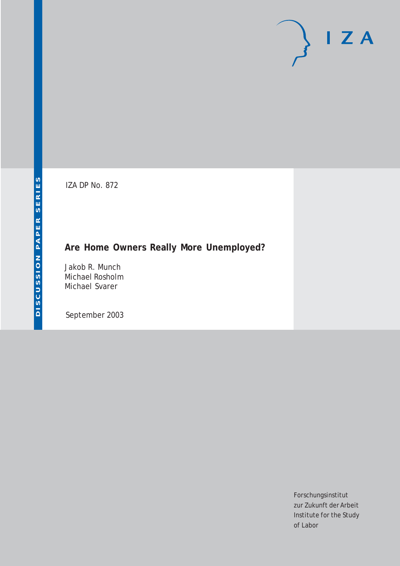# $I Z A$

IZA DP No. 872

# **Are Home Owners Really More Unemployed?**

Jakob R. Munch Michael Rosholm Michael Svarer

September 2003

Forschungsinstitut zur Zukunft der Arbeit Institute for the Study of Labor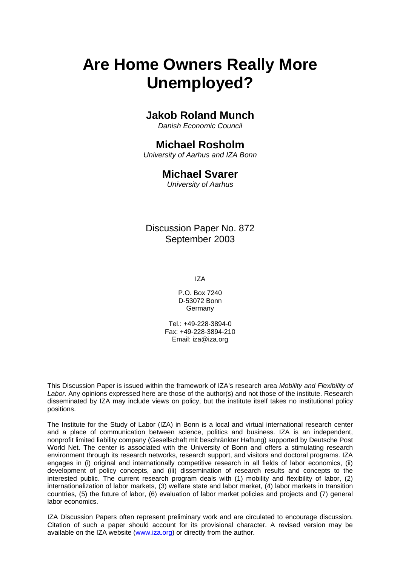# **Are Home Owners Really More Unemployed?**

## **Jakob Roland Munch**

*Danish Economic Council*

# **Michael Rosholm**

*University of Aarhus and IZA Bonn* 

## **Michael Svarer**

*University of Aarhus* 

Discussion Paper No. 872 September 2003

IZA

P.O. Box 7240 D-53072 Bonn **Germany** 

Tel.: +49-228-3894-0 Fax: +49-228-3894-210 Email: [iza@iza.org](mailto:iza@iza.org)

This Discussion Paper is issued within the framework of IZA's research area *Mobility and Flexibility of Labor.* Any opinions expressed here are those of the author(s) and not those of the institute. Research disseminated by IZA may include views on policy, but the institute itself takes no institutional policy positions.

The Institute for the Study of Labor (IZA) in Bonn is a local and virtual international research center and a place of communication between science, politics and business. IZA is an independent, nonprofit limited liability company (Gesellschaft mit beschränkter Haftung) supported by Deutsche Post World Net. The center is associated with the University of Bonn and offers a stimulating research environment through its research networks, research support, and visitors and doctoral programs. IZA engages in (i) original and internationally competitive research in all fields of labor economics, (ii) development of policy concepts, and (iii) dissemination of research results and concepts to the interested public. The current research program deals with (1) mobility and flexibility of labor, (2) internationalization of labor markets, (3) welfare state and labor market, (4) labor markets in transition countries, (5) the future of labor, (6) evaluation of labor market policies and projects and (7) general labor economics.

IZA Discussion Papers often represent preliminary work and are circulated to encourage discussion. Citation of such a paper should account for its provisional character. A revised version may be available on the IZA website ([www.iza.org](http://www.iza.org/)) or directly from the author.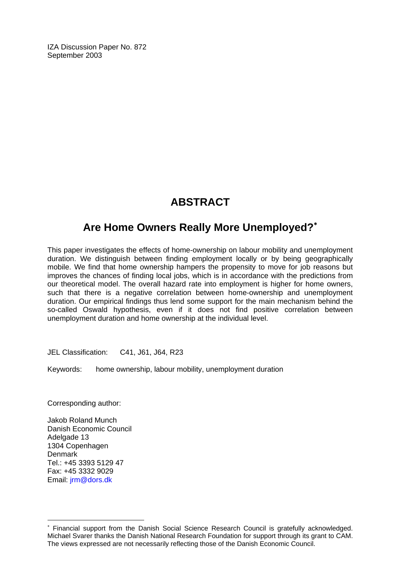IZA Discussion Paper No. 872 September 2003

# **ABSTRACT**

# **Are Home Owners Really More Unemployed?**[∗](#page-2-0)

This paper investigates the effects of home-ownership on labour mobility and unemployment duration. We distinguish between finding employment locally or by being geographically mobile. We find that home ownership hampers the propensity to move for job reasons but improves the chances of finding local jobs, which is in accordance with the predictions from our theoretical model. The overall hazard rate into employment is higher for home owners, such that there is a negative correlation between home-ownership and unemployment duration. Our empirical findings thus lend some support for the main mechanism behind the so-called Oswald hypothesis, even if it does not find positive correlation between unemployment duration and home ownership at the individual level.

JEL Classification: C41, J61, J64, R23

Keywords: home ownership, labour mobility, unemployment duration

Corresponding author:

Jakob Roland Munch Danish Economic Council Adelgade 13 1304 Copenhagen Denmark Tel.: +45 3393 5129 47 Fax: +45 3332 9029 Email: [jrm@dors.dk](mailto:jrm@dors.dk)

 $\overline{a}$ 

<span id="page-2-0"></span><sup>∗</sup> Financial support from the Danish Social Science Research Council is gratefully acknowledged. Michael Svarer thanks the Danish National Research Foundation for support through its grant to CAM. The views expressed are not necessarily reflecting those of the Danish Economic Council.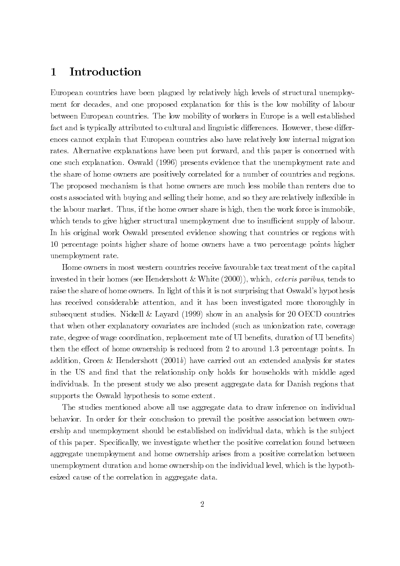#### Introduction 1

European countries have been plagued by relatively high levels of structural unemployment for decades, and one proposed explanation for this is the low mobility of labour between European countries. The low mobility of workers in Europe is a well established fact and is typically attributed to cultural and linguistic differences. However, these differences cannot explain that European countries also have relatively low internal migration rates. Alternative explanations have been put forward, and this paper is concerned with one such explanation. Oswald (1996) presents evidence that the unemployment rate and the share of home owners are positively correlated for a number of countries and regions. The proposed mechanism is that home owners are much less mobile than renters due to costs associated with buying and selling their home, and so they are relatively inflexible in the labour market. Thus, if the home owner share is high, then the work force is immobile, which tends to give higher structural unemployment due to insufficient supply of labour. In his original work Oswald presented evidence showing that countries or regions with 10 percentage points higher share of home owners have a two percentage points higher unemployment rate.

Home owners in most western countries receive favourable tax treatment of the capital invested in their homes (see Hendershott & White  $(2000)$ ), which, *ceteris paribus*, tends to raise the share of home owners. In light of this it is not surprising that Oswald's hypothesis has received considerable attention, and it has been investigated more thoroughly in subsequent studies. Nickell & Layard (1999) show in an analysis for 20 OECD countries that when other explanatory covariates are included (such as unionization rate, coverage rate, degree of wage coordination, replacement rate of UI benefits, duration of UI benefits) then the effect of home ownership is reduced from 2 to around 1.3 percentage points. In addition, Green & Hendershott  $(2001b)$  have carried out an extended analysis for states in the US and find that the relationship only holds for households with middle aged individuals. In the present study we also present aggregate data for Danish regions that supports the Oswald hypothesis to some extent.

The studies mentioned above all use aggregate data to draw inference on individual behavior. In order for their conclusion to prevail the positive association between ownership and unemployment should be established on individual data, which is the subject of this paper. Specifically, we investigate whether the positive correlation found between aggregate unemployment and home ownership arises from a positive correlation between unemployment duration and home ownership on the individual level, which is the hypothesized cause of the correlation in aggregate data.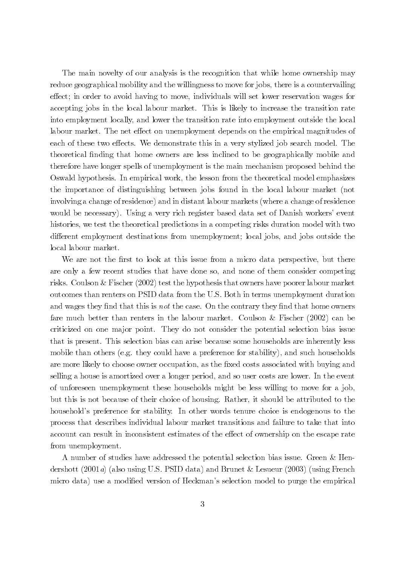The main novelty of our analysis is the recognition that while home ownership may reduce geographical mobility and the willingness to move for jobs, there is a countervailing effect; in order to avoid having to move, individuals will set lower reservation wages for accepting jobs in the local labour market. This is likely to increase the transition rate into employment locally, and lower the transition rate into employment outside the local labour market. The net effect on unemployment depends on the empirical magnitudes of each of these two effects. We demonstrate this in a very stylized job search model. The theoretical finding that home owners are less inclined to be geographically mobile and therefore have longer spells of unemployment is the main mechanism proposed behind the Oswald hypothesis. In empirical work, the lesson from the theoretical model emphasizes the importance of distinguishing between jobs found in the local labour market (not involving a change of residence) and in distant labour markets (where a change of residence would be necessary). Using a very rich register based data set of Danish workers' event histories, we test the theoretical predictions in a competing risks duration model with two different employment destinations from unemployment; local jobs, and jobs outside the local labour market.

We are not the first to look at this issue from a micro data perspective, but there are only a few recent studies that have done so, and none of them consider competing risks. Coulson & Fischer  $(2002)$  test the hypothesis that owners have poorer labour market outcomes than renters on PSID data from the U.S. Both in terms unemployment duration and wages they find that this is not the case. On the contrary they find that home owners fare much better than renters in the labour market. Coulson & Fischer  $(2002)$  can be criticized on one major point. They do not consider the potential selection bias issue that is present. This selection bias can arise because some households are inherently less mobile than others (e.g. they could have a preference for stability), and such households are more likely to choose owner occupation, as the fixed costs associated with buying and selling a house is amortized over a longer period, and so user costs are lower. In the event of unforeseen unemployment these households might be less willing to move for a job, but this is not because of their choice of housing. Rather, it should be attributed to the household's preference for stability. In other words tenure choice is endogenous to the process that describes individual labour market transitions and failure to take that into account can result in inconsistent estimates of the effect of ownership on the escape rate from unemployment.

A number of studies have addressed the potential selection bias issue. Green & Hendershott (2001a) (also using U.S. PSID data) and Brunet & Lesueur (2003) (using French micro data) use a modified version of Heckman's selection model to purge the empirical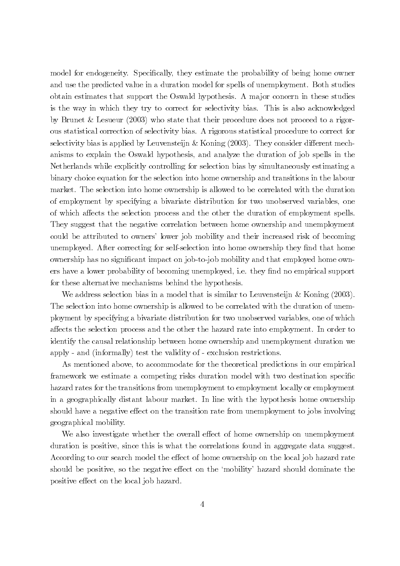model for endogeneity. Specifically, they estimate the probability of being home owner and use the predicted value in a duration model for spells of unemployment. Both studies obtain estimates that support the Oswald hypothesis. A major concern in these studies is the way in which they try to correct for selectivity bias. This is also acknowledged by Brunet & Lesueur  $(2003)$  who state that their procedure does not proceed to a rigorous statistical correction of selectivity bias. A rigorous statistical procedure to correct for selectivity bias is applied by Leuvensteijn  $&$  Koning (2003). They consider different mechanisms to explain the Oswald hypothesis, and analyze the duration of job spells in the Netherlands while explicitly controlling for selection bias by simultaneously estimating a binary choice equation for the selection into home ownership and transitions in the labour market. The selection into home ownership is allowed to be correlated with the duration of employment by specifying a bivariate distribution for two unobserved variables, one of which affects the selection process and the other the duration of employment spells. They suggest that the negative correlation between home ownership and unemployment could be attributed to owners' lower job mobility and their increased risk of becoming unemployed. After correcting for self-selection into home ownership they find that home ownership has no significant impact on job-to-job mobility and that employed home owners have a lower probability of becoming unemployed, i.e. they find no empirical support for these alternative mechanisms behind the hypothesis.

We address selection bias in a model that is similar to Leuvensteijn & Koning  $(2003)$ . The selection into home ownership is allowed to be correlated with the duration of unemployment by specifying a bivariate distribution for two unobserved variables, one of which affects the selection process and the other the hazard rate into employment. In order to identify the causal relationship between home ownership and unemployment duration we apply - and (informally) test the validity of - exclusion restrictions.

As mentioned above, to accommodate for the theoretical predictions in our empirical framework we estimate a competing risks duration model with two destination specific hazard rates for the transitions from unemployment to employment locally or employment in a geographically distant labour market. In line with the hypothesis home ownership should have a negative effect on the transition rate from unemployment to jobs involving geographical mobility.

We also investigate whether the overall effect of home ownership on unemployment duration is positive, since this is what the correlations found in aggregate data suggest. According to our search model the effect of home ownership on the local job hazard rate should be positive, so the negative effect on the 'mobility' hazard should dominate the positive effect on the local job hazard.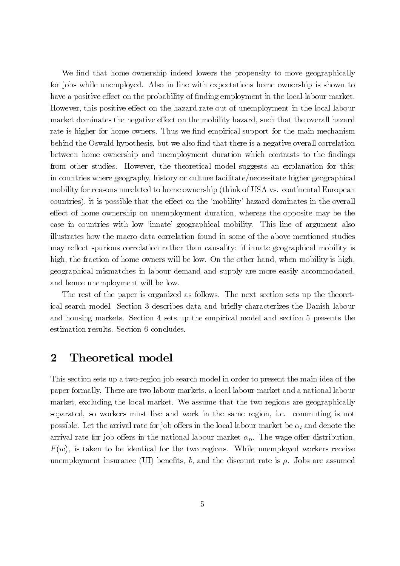We find that home ownership indeed lowers the propensity to move geographically for jobs while unemployed. Also in line with expectations home ownership is shown to have a positive effect on the probability of finding employment in the local labour market. However, this positive effect on the hazard rate out of unemployment in the local labour market dominates the negative effect on the mobility hazard, such that the overall hazard rate is higher for home owners. Thus we find empirical support for the main mechanism behind the Oswald hypothesis, but we also find that there is a negative overall correlation between home ownership and unemployment duration which contrasts to the findings from other studies. However, the theoretical model suggests an explanation for this; in countries where geography, history or culture facilitate/necessitate higher geographical mobility for reasons unrelated to home ownership (think of USA vs. continental European countries), it is possible that the effect on the 'mobility' hazard dominates in the overall effect of home ownership on unemployment duration, whereas the opposite may be the case in countries with low 'innate' geographical mobility. This line of argument also illustrates how the macro data correlation found in some of the above mentioned studies may reflect spurious correlation rather than causality: if innate geographical mobility is high, the fraction of home owners will be low. On the other hand, when mobility is high, geographical mismatches in labour demand and supply are more easily accommodated, and hence unemployment will be low.

The rest of the paper is organized as follows. The next section sets up the theoretical search model. Section 3 describes data and briefly characterizes the Danish labour and housing markets. Section 4 sets up the empirical model and section 5 presents the estimation results. Section 6 concludes.

#### Theoretical model  $\bf{2}$

This section sets up a two-region job search model in order to present the main idea of the paper formally. There are two labour markets, a local labour market and a national labour market, excluding the local market. We assume that the two regions are geographically separated, so workers must live and work in the same region, i.e. commuting is not possible. Let the arrival rate for job offers in the local labour market be  $\alpha_l$  and denote the arrival rate for job offers in the national labour market  $\alpha_n$ . The wage offer distribution,  $F(w)$ , is taken to be identical for the two regions. While unemployed workers receive unemployment insurance (UI) benefits, b, and the discount rate is  $\rho$ . Jobs are assumed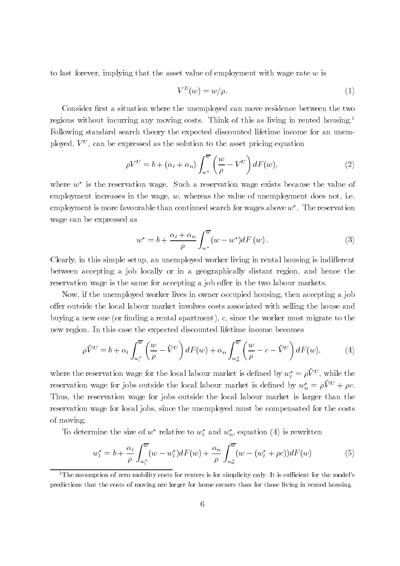to last forever, implying that the asset value of employment with wage rate  $w$  is

$$
V^{E}(w) = w/\rho.
$$
 (1)

Consider first a situation where the unemployed can move residence between the two regions without incurring any moving costs. Think of this as living in rented housing.<sup>1</sup> Following standard search theory the expected discounted lifetime income for an unemployed,  $V^U$ , can be expressed as the solution to the asset pricing equation

$$
\rho V^U = b + (\alpha_l + \alpha_n) \int_{w^*}^{\overline{w}} \left( \frac{w}{\rho} - V^U \right) dF(w), \tag{2}
$$

where  $w^*$  is the reservation wage. Such a reservation wage exists because the value of employment increases in the wage,  $w$ , whereas the value of unemployment does not, i.e. employment is more favourable than continued search for wages above  $w^*$ . The reservation wage can be expressed as

$$
w^* = b + \frac{\alpha_l + \alpha_n}{\rho} \int_{w^*}^{\overline{w}} (w - w^*) dF(w).
$$
 (3)

Clearly, in this simple setup, an unemployed worker living in rental housing is indifferent between accepting a job locally or in a geographically distant region, and hence the reservation wage is the same for accepting a job offer in the two labour markets.

Now, if the unemployed worker lives in owner occupied housing, then accepting a job offer outside the local labour market involves costs associated with selling the house and buying a new one (or finding a rental apartment), c, since the worker must migrate to the new region. In this case the expected discounted lifetime income becomes

$$
\rho \tilde{V}^U = b + \alpha_l \int_{w_l^*}^{\overline{w}} \left( \frac{w}{\rho} - \tilde{V}^U \right) dF(w) + \alpha_n \int_{w_n^*}^{\overline{w}} \left( \frac{w}{\rho} - c - \tilde{V}^U \right) dF(w), \tag{4}
$$

where the reservation wage for the local labour market is defined by  $w_l^* = \rho \tilde{V}^U$ , while the reservation wage for jobs outside the local labour market is defined by  $w_n^* = \rho \tilde{V}^U + \rho c$ . Thus, the reservation wage for jobs outside the local labour market is larger than the reservation wage for local jobs, since the unemployed must be compensated for the costs of moving.

To determine the size of  $w^*$  relative to  $w_i^*$  and  $w_n^*$ , equation (4) is rewritten

$$
w_l^* = b + \frac{\alpha_l}{\rho} \int_{w_l^*}^{\overline{w}} (w - w_l^*) dF(w) + \frac{\alpha_n}{\rho} \int_{w_n^*}^{\overline{w}} (w - (w_l^* + \rho c)) dF(w) \tag{5}
$$

<sup>&</sup>lt;sup>1</sup>The assumption of zero mobility costs for renters is for simplicity only. It is sufficient for the model's predictions that the costs of moving are larger for home owners than for those living in rented housing.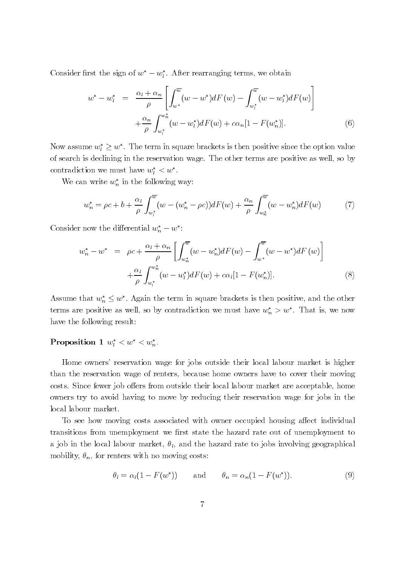Consider first the sign of  $w^* - w_l^*$ . After rearranging terms, we obtain

$$
w^* - w_l^* = \frac{\alpha_l + \alpha_n}{\rho} \left[ \int_{w^*}^{\overline{w}} (w - w^*) dF(w) - \int_{w_l^*}^{\overline{w}} (w - w_l^*) dF(w) \right] + \frac{\alpha_n}{\rho} \int_{w_l^*}^{w_n^*} (w - w_l^*) dF(w) + c\alpha_n [1 - F(w_n^*)]. \tag{6}
$$

Now assume  $w_l^* \geq w^*$ . The term in square brackets is then positive since the option value of search is declining in the reservation wage. The other terms are positive as well, so by contradiction we must have  $w_l^* < w^*$ .

We can write  $w_n^*$  in the following way:

$$
w_n^* = \rho c + b + \frac{\alpha_l}{\rho} \int_{w_l^*}^{\overline{w}} (w - (w_n^* - \rho c)) dF(w) + \frac{\alpha_n}{\rho} \int_{w_n^*}^{\overline{w}} (w - w_n^*) dF(w) \tag{7}
$$

Consider now the differential  $w_n^* - w^*$ :

$$
w_n^* - w^* = \rho c + \frac{\alpha_l + \alpha_n}{\rho} \left[ \int_{w_n^*}^{\overline{w}} (w - w_n^*) dF(w) - \int_{w^*}^{\overline{w}} (w - w^*) dF(w) \right] + \frac{\alpha_l}{\rho} \int_{w_l^*}^{w_n^*} (w - w_l^*) dF(w) + c\alpha_l [1 - F(w_n^*)]. \tag{8}
$$

Assume that  $w_n^* \leq w^*$ . Again the term in square brackets is then positive, and the other terms are positive as well, so by contradiction we must have  $w_n^* > w^*$ . That is, we now have the following result:

## Proposition 1  $w_l^* < w^* < w_n^*$ .

Home owners' reservation wage for jobs outside their local labour market is higher than the reservation wage of renters, because home owners have to cover their moving costs. Since fewer job offers from outside their local labour market are acceptable, home owners try to avoid having to move by reducing their reservation wage for jobs in the local labour market.

To see how moving costs associated with owner occupied housing affect individual transitions from unemployment we first state the hazard rate out of unemployment to a job in the local labour market,  $\theta_l$ , and the hazard rate to jobs involving geographical mobility,  $\theta_n$ , for renters with no moving costs:

$$
\theta_l = \alpha_l (1 - F(w^*)) \quad \text{and} \quad \theta_n = \alpha_n (1 - F(w^*)). \tag{9}
$$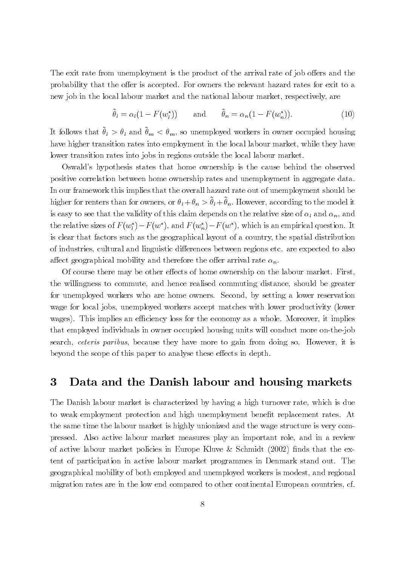The exit rate from unemployment is the product of the arrival rate of job offers and the probability that the offer is accepted. For owners the relevant hazard rates for exit to a new job in the local labour market and the national labour market, respectively, are

$$
\tilde{\theta}_l = \alpha_l (1 - F(w_l^*)) \quad \text{and} \quad \tilde{\theta}_n = \alpha_n (1 - F(w_n^*)). \tag{10}
$$

It follows that  $\tilde{\theta}_l > \theta_l$  and  $\tilde{\theta}_m < \theta_m$ , so unemployed workers in owner occupied housing have higher transition rates into employment in the local labour market, while they have lower transition rates into jobs in regions outside the local labour market.

Oswald's hypothesis states that home ownership is the cause behind the observed positive correlation between home ownership rates and unemployment in aggregate data. In our framework this implies that the overall hazard rate out of unemployment should be higher for renters than for owners, or  $\theta_l + \theta_n > \tilde{\theta}_l + \tilde{\theta}_n$ . However, according to the model it is easy to see that the validity of this claim depends on the relative size of  $\alpha_l$  and  $\alpha_n$ , and the relative sizes of  $F(w_i^*) - F(w^*)$ , and  $F(w_n^*) - F(w^*)$ , which is an empirical question. It is clear that factors such as the geographical layout of a country, the spatial distribution of industries, cultural and linguistic differences between regions etc. are expected to also affect geographical mobility and therefore the offer arrival rate  $\alpha_n$ .

Of course there may be other effects of home ownership on the labour market. First, the willingness to commute, and hence realised commuting distance, should be greater for unemployed workers who are home owners. Second, by setting a lower reservation wage for local jobs, unemployed workers accept matches with lower productivity (lower wages). This implies an efficiency loss for the economy as a whole. Moreover, it implies that employed individuals in owner occupied housing units will conduct more on-the-job search, *ceteris paribus*, because they have more to gain from doing so. However, it is beyond the scope of this paper to analyse these effects in depth.

#### Data and the Danish labour and housing markets 3

The Danish labour market is characterized by having a high turnover rate, which is due to weak employment protection and high unemployment benefit replacement rates. At the same time the labour market is highly unionized and the wage structure is very compressed. Also active labour market measures play an important role, and in a review of active labour market policies in Europe Kluve & Schmidt (2002) finds that the extent of participation in active labour market programmes in Denmark stand out. The geographical mobility of both employed and unemployed workers is modest, and regional migration rates are in the low end compared to other continental European countries, cf.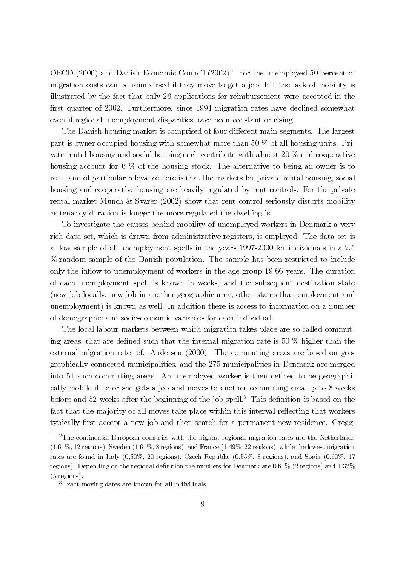OECD  $(2000)$  and Danish Economic Council  $(2002).<sup>2</sup>$  For the unemployed 50 percent of migration costs can be reimbursed if they move to get a job, but the lack of mobility is illustrated by the fact that only 26 applications for reimbursement were accepted in the first quarter of 2002. Furthermore, since 1994 migration rates have declined somewhat even if regional unemployment disparities have been constant or rising.

The Danish housing market is comprised of four different main segments. The largest part is owner occupied housing with somewhat more than 50  $\%$  of all housing units. Private rental housing and social housing each contribute with almost 20  $\%$  and cooperative housing account for 6  $\%$  of the housing stock. The alternative to being an owner is to rent, and of particular relevance here is that the markets for private rental housing, social housing and cooperative housing are heavily regulated by rent controls. For the private rental market Munch & Svarer  $(2002)$  show that rent control seriously distorts mobility as tenancy duration is longer the more regulated the dwelling is.

To investigate the causes behind mobility of unemployed workers in Denmark a very rich data set, which is drawn from administrative registers, is employed. The data set is a flow sample of all unemployment spells in the years 1997-2000 for individuals in a 2.5 % random sample of the Danish population. The sample has been restricted to include only the inflow to unemployment of workers in the age group 19-66 years. The duration of each unemployment spell is known in weeks, and the subsequent destination state (new job locally, new job in another geographic area, other states than employment and unemployment) is known as well. In addition there is access to information on a number of demographic and socio-economic variables for each individual.

The local labour markets between which migration takes place are so-called commuting areas, that are defined such that the internal migration rate is 50  $\%$  higher than the external migration rate, cf. Andersen (2000). The commuting areas are based on geographically connected municipalities, and the 275 municipalities in Denmark are merged into 51 such commuting areas. An unemployed worker is then defined to be geographically mobile if he or she gets a job and moves to another commuting area up to 8 weeks before and 52 weeks after the beginning of the job spell.<sup>3</sup> This definition is based on the fact that the majority of all moves take place within this interval reflecting that workers typically first accept a new job and then search for a permanent new residence. Gregg,

 $2$ The continental European countries with the highest regional migration rates are the Netherlands  $(1.61\%, 12 \text{ regions})$ , Sweden  $(1.61\%, 8 \text{ regions})$ , and France  $(1.49\%, 22 \text{ regions})$ , while the lowest migration rates are found in Italy  $(0.50\%, 20 \text{ regions})$ , Czech Republic  $(0.55\%, 8 \text{ regions})$ , and Spain  $(0.60\%, 17 \text{ times})$ regions). Depending on the regional definition the numbers for Denmark are 0.61% (2 regions) and 1.32%  $(5$  regions).

<sup>&</sup>lt;sup>3</sup>Exact moving dates are known for all individuals.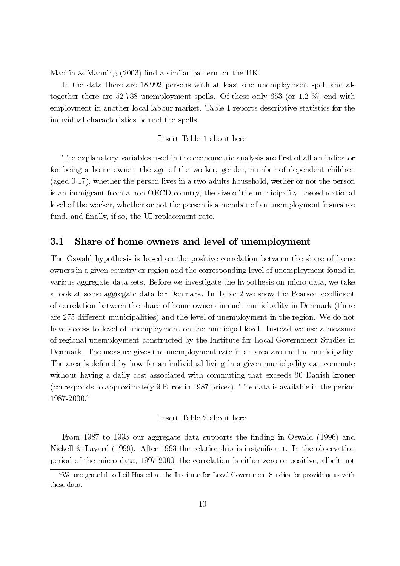Machin & Manning (2003) find a similar pattern for the UK.

In the data there are 18,992 persons with at least one unemployment spell and altogether there are 52,738 unemployment spells. Of these only 653 (or 1.2  $\%$ ) end with employment in another local labour market. Table 1 reports descriptive statistics for the individual characteristics behind the spells.

## Insert Table 1 about here

The explanatory variables used in the econometric analysis are first of all an indicator for being a home owner, the age of the worker, gender, number of dependent children (aged 0-17), whether the person lives in a two-adults household, wether or not the person is an immigrant from a non-OECD country, the size of the municipality, the educational level of the worker, whether or not the person is a member of an unemployment insurance fund, and finally, if so, the UI replacement rate.

#### $3.1$ Share of home owners and level of unemployment

The Oswald hypothesis is based on the positive correlation between the share of home owners in a given country or region and the corresponding level of unemployment found in various aggregate data sets. Before we investigate the hypothesis on micro data, we take a look at some aggregate data for Denmark. In Table 2 we show the Pearson coefficient of correlation between the share of home owners in each municipality in Denmark (there are 275 different municipalities) and the level of unemployment in the region. We do not have access to level of unemployment on the municipal level. Instead we use a measure of regional unemployment constructed by the Institute for Local Government Studies in Denmark. The measure gives the unemployment rate in an area around the municipality. The area is defined by how far an individual living in a given municipality can commute without having a daily cost associated with commuting that exceeds 60 Danish kroner (corresponds to approximately 9 Euros in 1987 prices). The data is available in the period 1987-2000.4

## Insert Table 2 about here

From 1987 to 1993 our aggregate data supports the finding in Oswald (1996) and Nickell & Layard (1999). After 1993 the relationship is insignificant. In the observation period of the micro data, 1997-2000, the correlation is either zero or positive, albeit not

 $4$ We are grateful to Leif Husted at the Institute for Local Government Studies for providing us with these data.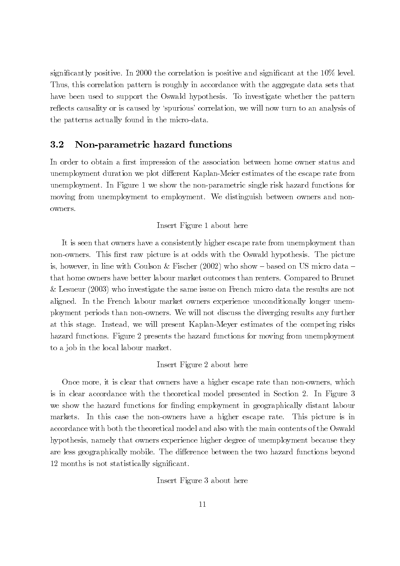significantly positive. In 2000 the correlation is positive and significant at the 10% level. Thus, this correlation pattern is roughly in accordance with the aggregate data sets that have been used to support the Oswald hypothesis. To investigate whether the pattern reflects causality or is caused by 'spurious' correlation, we will now turn to an analysis of the patterns actually found in the micro-data.

#### $3.2$ Non-parametric hazard functions

In order to obtain a first impression of the association between home owner status and unemployment duration we plot different Kaplan-Meier estimates of the escape rate from unemployment. In Figure 1 we show the non-parametric single risk hazard functions for moving from unemployment to employment. We distinguish between owners and nonowners.

## Insert Figure 1 about here

It is seen that owners have a consistently higher escape rate from unemployment than non-owners. This first raw picture is at odds with the Oswald hypothesis. The picture is, however, in line with Coulson & Fischer  $(2002)$  who show – based on US micro data – that home owners have better labour market outcomes than renters. Compared to Brunet & Lesueur  $(2003)$  who investigate the same issue on French micro data the results are not aligned. In the French labour market owners experience unconditionally longer unemployment periods than non-owners. We will not discuss the diverging results any further at this stage. Instead, we will present Kaplan-Meyer estimates of the competing risks hazard functions. Figure 2 presents the hazard functions for moving from unemployment to a job in the local labour market.

## Insert Figure 2 about here

Once more, it is clear that owners have a higher escape rate than non-owners, which is in clear accordance with the theoretical model presented in Section 2. In Figure 3 we show the hazard functions for finding employment in geographically distant labour markets. In this case the non-owners have a higher escape rate. This picture is in accordance with both the theoretical model and also with the main contents of the Oswald hypothesis, namely that owners experience higher degree of unemployment because they are less geographically mobile. The difference between the two hazard functions beyond 12 months is not statistically significant.

Insert Figure 3 about here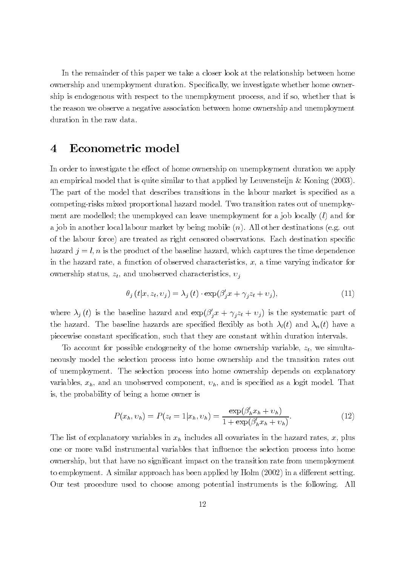In the remainder of this paper we take a closer look at the relationship between home ownership and unemployment duration. Specifically, we investigate whether home ownership is endogenous with respect to the unemployment process, and if so, whether that is the reason we observe a negative association between home ownership and unemployment duration in the raw data.

#### Econometric model 4

In order to investigate the effect of home ownership on unemployment duration we apply an empirical model that is quite similar to that applied by Leuvensteijn & Koning  $(2003)$ . The part of the model that describes transitions in the labour market is specified as a competing-risks mixed proportional hazard model. Two transition rates out of unemployment are modelled; the unemployed can leave unemployment for a job locally  $(l)$  and for a job in another local labour market by being mobile  $(n)$ . All other destinations (e.g. out of the labour force) are treated as right censored observations. Each destination specific hazard  $j = l, n$  is the product of the baseline hazard, which captures the time dependence in the hazard rate, a function of observed characteristics,  $x$ , a time varying indicator for ownership status,  $z_t$ , and unobserved characteristics,  $v_i$ 

$$
\theta_j(t|x, z_t, v_j) = \lambda_j(t) \cdot \exp(\beta'_j x + \gamma_j z_t + v_j), \tag{11}
$$

where  $\lambda_j(t)$  is the baseline hazard and  $\exp(\beta'_j x + \gamma_j z_t + v_j)$  is the systematic part of the hazard. The baseline hazards are specified flexibly as both  $\lambda_i(t)$  and  $\lambda_n(t)$  have a piecewise constant specification, such that they are constant within duration intervals.

To account for possible endogeneity of the home ownership variable,  $z_t$ , we simultaneously model the selection process into home ownership and the transition rates out of unemployment. The selection process into home ownership depends on explanatory variables,  $x_h$ , and an unobserved component,  $v_h$ , and is specified as a logit model. That is, the probability of being a home owner is

$$
P(x_h, v_h) = P(z_t = 1 | x_h, v_h) = \frac{\exp(\beta_h' x_h + v_h)}{1 + \exp(\beta_h' x_h + v_h)}.
$$
\n(12)

The list of explanatory variables in  $x_h$  includes all covariates in the hazard rates, x, plus one or more valid instrumental variables that influence the selection process into home ownership, but that have no significant impact on the transition rate from unemployment to employment. A similar approach has been applied by  $\text{Holm} (2002)$  in a different setting. Our test procedure used to choose among potential instruments is the following. All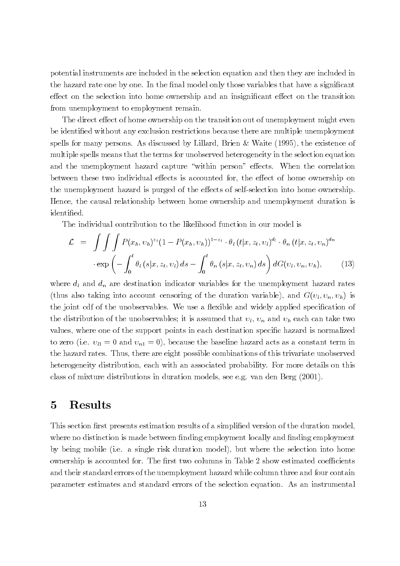potential instruments are included in the selection equation and then they are included in the hazard rate one by one. In the final model only those variables that have a significant effect on the selection into home ownership and an insignificant effect on the transition from unemployment to employment remain.

The direct effect of home ownership on the transition out of unemployment might even be identified without any exclusion restrictions because there are multiple unemployment spells for many persons. As discussed by Lillard, Brien & Waite  $(1995)$ , the existence of multiple spells means that the terms for unobserved heterogeneity in the selection equation and the unemployment hazard capture "within person" effects. When the correlation between these two individual effects is accounted for, the effect of home ownership on the unemployment hazard is purged of the effects of self-selection into home ownership. Hence, the causal relationship between home ownership and unemployment duration is identified.

The individual contribution to the likelihood function in our model is

$$
\mathcal{L} = \int \int \int P(x_h, v_h)^{z_t} (1 - P(x_h, v_h))^{1 - z_t} \cdot \theta_l (t | x, z_t, v_l)^{d_l} \cdot \theta_n (t | x, z_t, v_n)^{d_n}
$$

$$
\cdot \exp \left(-\int_0^t \theta_l (s | x, z_t, v_l) ds - \int_0^t \theta_n (s | x, z_t, v_n) ds\right) dG(v_l, v_n, v_h), \tag{13}
$$

where  $d_l$  and  $d_n$  are destination indicator variables for the unemployment hazard rates (thus also taking into account censoring of the duration variable), and  $G(v_l, v_n, v_h)$  is the joint cdf of the unobservables. We use a flexible and widely applied specification of the distribution of the unobservables; it is assumed that  $v_l$ ,  $v_n$  and  $v_h$  each can take two values, where one of the support points in each destination specific hazard is normalized to zero (i.e.  $v_{l1} = 0$  and  $v_{n1} = 0$ ), because the baseline hazard acts as a constant term in the hazard rates. Thus, there are eight possible combinations of this trivariate unobserved heterogeneity distribution, each with an associated probability. For more details on this class of mixture distributions in duration models, see e.g. van den Berg  $(2001)$ .

#### **Results**  $\bf{5}$

This section first presents estimation results of a simplified version of the duration model, where no distinction is made between finding employment locally and finding employment by being mobile (i.e. a single risk duration model), but where the selection into home ownership is accounted for. The first two columns in Table 2 show estimated coefficients and their standard errors of the unemployment hazard while column three and four contain parameter estimates and standard errors of the selection equation. As an instrumental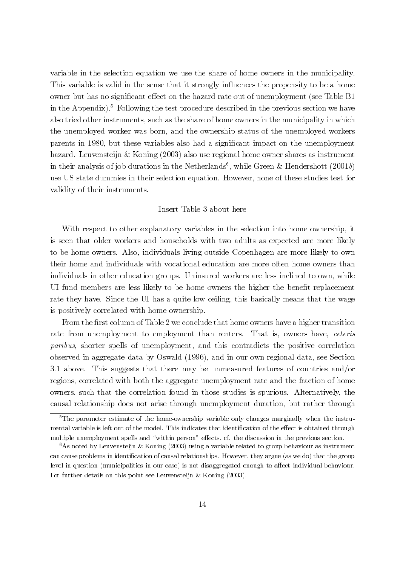variable in the selection equation we use the share of home owners in the municipality. This variable is valid in the sense that it strongly influences the propensity to be a home owner but has no significant effect on the hazard rate out of unemployment (see Table B1 in the Appendix).<sup>5</sup> Following the test procedure described in the previous section we have also tried other instruments, such as the share of home owners in the municipality in which the unemployed worker was born, and the ownership status of the unemployed workers parents in 1980, but these variables also had a significant impact on the unemployment hazard. Leuvensteijn & Koning  $(2003)$  also use regional home owner shares as instrument in their analysis of job durations in the Netherlands<sup>6</sup>, while Green & Hendershott (2001b) use US state dummies in their selection equation. However, none of these studies test for validity of their instruments.

## Insert Table 3 about here

With respect to other explanatory variables in the selection into home ownership, it is seen that older workers and households with two adults as expected are more likely to be home owners. Also, individuals living outside Copenhagen are more likely to own their home and individuals with vocational education are more often home owners than individuals in other education groups. Uninsured workers are less inclined to own, while UI fund members are less likely to be home owners the higher the benefit replacement rate they have. Since the UI has a quite low ceiling, this basically means that the wage is positively correlated with home ownership.

From the first column of Table 2 we conclude that home owners have a higher transition rate from unemployment to employment than renters. That is, owners have, ceteris *paribus*, shorter spells of unemployment, and this contradicts the positive correlation observed in aggregate data by Oswald (1996), and in our own regional data, see Section 3.1 above. This suggests that there may be unmeasured features of countries and/or regions, correlated with both the aggregate unemployment rate and the fraction of home owners, such that the correlation found in those studies is spurious. Alternatively, the causal relationship does not arise through unemployment duration, but rather through

 $5$ The parameter estimate of the home-ownership variable only changes marginally when the instrumental variable is left out of the model. This indicates that identification of the effect is obtained through multiple unemployment spells and "within person" effects, cf. the discussion in the previous section.

<sup>&</sup>lt;sup>6</sup>As noted by Leuvensteijn & Koning (2003) using a variable related to group behaviour as instrument can cause problems in identification of causal relationships. However, they argue (as we do) that the group level in question (municipalities in our case) is not disaggregated enough to affect individual behaviour. For further details on this point see Leuvenstein & Koning  $(2003)$ .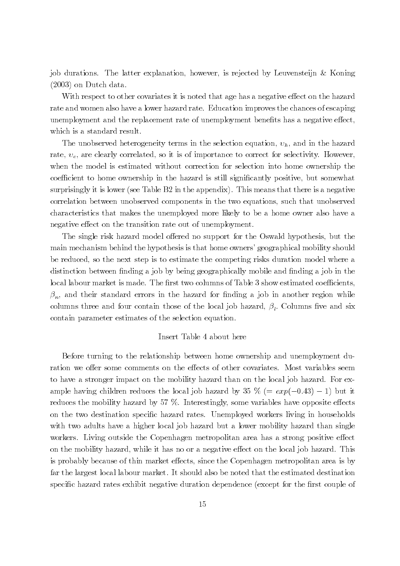job durations. The latter explanation, however, is rejected by Leuvenstein & Koning  $(2003)$  on Dutch data.

With respect to other covariates it is noted that age has a negative effect on the hazard rate and women also have a lower hazard rate. Education improves the chances of escaping unemployment and the replacement rate of unemployment benefits has a negative effect, which is a standard result.

The unobserved heterogeneity terms in the selection equation,  $v_h$ , and in the hazard rate,  $v_e$ , are clearly correlated, so it is of importance to correct for selectivity. However, when the model is estimated without correction for selection into home ownership the coefficient to home ownership in the hazard is still significantly positive, but somewhat surprisingly it is lower (see Table  $B2$  in the appendix). This means that there is a negative correlation between unobserved components in the two equations, such that unobserved characteristics that makes the unemployed more likely to be a home owner also have a negative effect on the transition rate out of unemployment.

The single risk hazard model offered no support for the Oswald hypothesis, but the main mechanism behind the hypothesis is that home owners' geographical mobility should be reduced, so the next step is to estimate the competing risks duration model where a distinction between finding a job by being geographically mobile and finding a job in the local labour market is made. The first two columns of Table 3 show estimated coefficients,  $\beta_n$ , and their standard errors in the hazard for finding a job in another region while columns three and four contain those of the local job hazard,  $\beta_l$ . Columns five and six contain parameter estimates of the selection equation.

## Insert Table 4 about here

Before turning to the relationship between home ownership and unemployment duration we offer some comments on the effects of other covariates. Most variables seem to have a stronger impact on the mobility hazard than on the local job hazard. For example having children reduces the local job hazard by 35  $\%$  (=  $exp(-0.43) - 1$ ) but it reduces the mobility hazard by 57  $\%$ . Interestingly, some variables have opposite effects on the two destination specific hazard rates. Unemployed workers living in households with two adults have a higher local job hazard but a lower mobility hazard than single workers. Living outside the Copenhagen metropolitan area has a strong positive effect on the mobility hazard, while it has no or a negative effect on the local job hazard. This is probably because of thin market effects, since the Copenhagen metropolitan area is by far the largest local labour market. It should also be noted that the estimated destination specific hazard rates exhibit negative duration dependence (except for the first couple of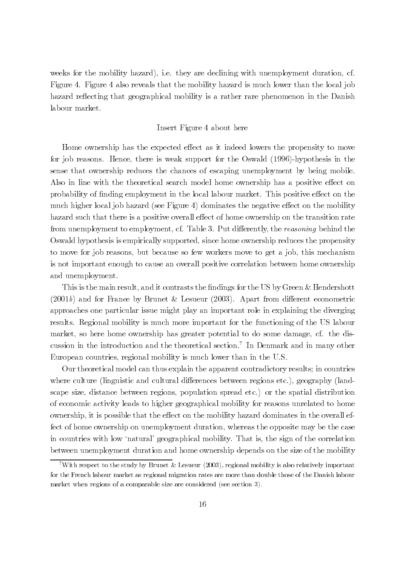weeks for the mobility hazard), i.e. they are declining with unemployment duration, cf. Figure 4. Figure 4 also reveals that the mobility hazard is much lower than the local job hazard reflecting that geographical mobility is a rather rare phenomenon in the Danish labour market.

## Insert Figure 4 about here

Home ownership has the expected effect as it indeed lowers the propensity to move for job reasons. Hence, there is weak support for the Oswald (1996)-hypothesis in the sense that ownership reduces the chances of escaping unemployment by being mobile. Also in line with the theoretical search model home ownership has a positive effect on probability of finding employment in the local labour market. This positive effect on the much higher local job hazard (see Figure 4) dominates the negative effect on the mobility hazard such that there is a positive overall effect of home ownership on the transition rate from unemployment to employment, cf. Table 3. Put differently, the reasoning behind the Oswald hypothesis is empirically supported, since home ownership reduces the propensity to move for job reasons, but because so few workers move to get a job, this mechanism is not important enough to cause an overall positive correlation between home ownership and unemployment.

This is the main result, and it contrasts the findings for the US by Green & Hendershott  $(2001b)$  and for France by Brunet & Lesueur (2003). Apart from different econometric approaches one particular issue might play an important role in explaining the diverging results. Regional mobility is much more important for the functioning of the US labour market, so here home ownership has greater potential to do some damage, cf. the discussion in the introduction and the theoretical section.<sup>7</sup> In Denmark and in many other European countries, regional mobility is much lower than in the U.S.

Our theoretical model can thus explain the apparent contradictory results; in countries where culture (linguistic and cultural differences between regions etc.), geography (landscape size, distance between regions, population spread etc.) or the spatial distribution of economic activity leads to higher geographical mobility for reasons unrelated to home ownership, it is possible that the effect on the mobility hazard dominates in the overall effect of home ownership on unemployment duration, whereas the opposite may be the case in countries with low 'natural' geographical mobility. That is, the sign of the correlation between unemployment duration and home ownership depends on the size of the mobility

<sup>&</sup>lt;sup>7</sup>With respect to the study by Brunet & Lesueur (2003), regional mobility is also relatively important for the French labour market as regional migration rates are more than double those of the Danish labour market when regions of a comparable size are considered (see section 3).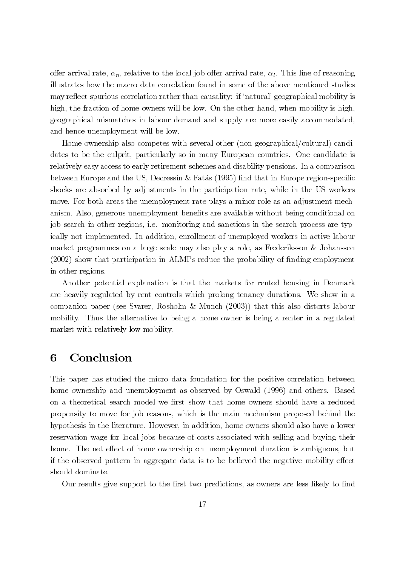offer arrival rate,  $\alpha_n$ , relative to the local job offer arrival rate,  $\alpha_l$ . This line of reasoning illustrates how the macro data correlation found in some of the above mentioned studies may reflect spurious correlation rather than causality: if 'natural' geographical mobility is high, the fraction of home owners will be low. On the other hand, when mobility is high, geographical mismatches in labour demand and supply are more easily accommodated, and hence unemployment will be low.

Home ownership also competes with several other (non-geographical/cultural) candidates to be the culprit, particularly so in many European countries. One candidate is relatively easy access to early retirement schemes and disability pensions. In a comparison between Europe and the US, Decressin & Fatás (1995) find that in Europe region-specific shocks are absorbed by adjustments in the participation rate, while in the US workers move. For both areas the unemployment rate plays a minor role as an adjustment mechanism. Also, generous unemployment benefits are available without being conditional on job search in other regions, i.e. monitoring and sanctions in the search process are typically not implemented. In addition, enrollment of unemployed workers in active labour market programmes on a large scale may also play a role, as Frederiksson & Johansson (2002) show that participation in ALMPs reduce the probability of finding employment in other regions.

Another potential explanation is that the markets for rented housing in Denmark are heavily regulated by rent controls which prolong tenancy durations. We show in a companion paper (see Svarer, Rosholm & Munch (2003)) that this also distorts labour mobility. Thus the alternative to being a home owner is being a renter in a regulated market with relatively low mobility.

#### Conclusion 6

This paper has studied the micro data foundation for the positive correlation between home ownership and unemployment as observed by Oswald (1996) and others. Based on a theoretical search model we first show that home owners should have a reduced propensity to move for job reasons, which is the main mechanism proposed behind the hypothesis in the literature. However, in addition, home owners should also have a lower reservation wage for local jobs because of costs associated with selling and buying their home. The net effect of home ownership on unemployment duration is ambiguous, but if the observed pattern in aggregate data is to be believed the negative mobility effect should dominate.

Our results give support to the first two predictions, as owners are less likely to find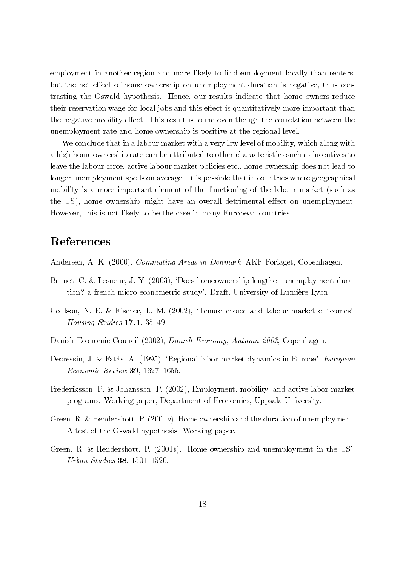employment in another region and more likely to find employment locally than renters, but the net effect of home ownership on unemployment duration is negative, thus contrasting the Oswald hypothesis. Hence, our results indicate that home owners reduce their reservation wage for local jobs and this effect is quantitatively more important than the negative mobility effect. This result is found even though the correlation between the unemployment rate and home ownership is positive at the regional level.

We conclude that in a labour market with a very low level of mobility, which along with a high home ownership rate can be attributed to other characteristics such as incentives to leave the labour force, active labour market policies etc., home ownership does not lead to longer unemployment spells on average. It is possible that in countries where geographical mobility is a more important element of the functioning of the labour market (such as the US), home ownership might have an overall detrimental effect on unemployment. However, this is not likely to be the case in many European countries.

# References

Andersen, A. K. (2000), *Commuting Areas in Denmark*, AKF Forlaget, Copenhagen.

- Brunet, C. & Lesueur, J.-Y. (2003), 'Does homeownership lengthen unemployment duration? a french micro-econometric study'. Draft, University of Lumière Lyon.
- Coulson, N. E. & Fischer, L. M. (2002), 'Tenure choice and labour market outcomes', *Housing Studies*  $17,1,35-49$ .
- Danish Economic Council (2002), Danish Economy, Autumn 2002, Copenhagen.
- Decressin, J. & Fatás, A. (1995), 'Regional labor market dynamics in Europe', European *Economic Review* 39, 1627–1655.
- Frederiksson, P. & Johansson, P. (2002), Employment, mobility, and active labor market programs. Working paper, Department of Economics, Uppsala University.
- Green, R. & Hendershott, P.  $(2001a)$ , Home ownership and the duration of unemployment: A test of the Oswald hypothesis. Working paper.
- Green, R. & Hendershott, P.  $(2001b)$ , 'Home-ownership and unemployment in the US', Urban Studies 38, 1501-1520.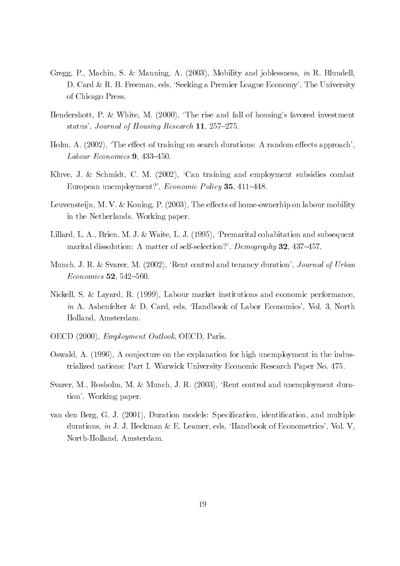- Gregg, P., Machin, S. & Manning, A. (2003), Mobility and joblessness, in R. Blundell, D. Card & R. B. Freeman, eds. 'Seeking a Premier League Economy', The University of Chicago Press.
- Hendershott, P. & White, M. (2000), 'The rise and fall of housing's favored investment status', Journal of Housing Research 11, 257–275.
- Holm, A.  $(2002)$ , 'The effect of training on search durations: A random effects approach', Labour Economics  $9, 433-450.$
- Kluve, J. & Schmidt, C. M. (2002), 'Can training and employment subsidies combat European unemployment?', *Economic Policy* 35, 411–448.
- Leuvensteijn, M. V. & Koning, P. (2003), The effects of home-ownerhip on labour mobility in the Netherlands. Working paper.
- Lillard, L. A., Brien, M. J. & Waite, L. J. (1995), 'Premarital cohabitation and subsequent marital dissolution: A matter of self-selection?', Demography 32, 437-457.
- Munch, J. R. & Svarer, M. (2002), 'Rent control and tenancy duration', *Journal of Urban Economics* 52, 542-560.
- Nickell, S. & Layard, R. (1999), Labour market institutions and economic performance, *in* A. Ashenfelter & D. Card, eds. 'Handbook of Labor Economics', Vol. 3, North Holland, Amsterdam.
- OECD (2000), *Employment Outlook*, OECD, Paris.
- Oswald, A. (1996), A conjecture on the explanation for high unemployment in the industrialized nations: Part I. Warwick University Economic Research Paper No. 475.
- Svarer, M., Rosholm, M. & Munch, J. R. (2003), 'Rent control and unemployment duration'. Working paper.
- van den Berg, G. J. (2001), Duration models: Specification, identification, and multiple durations, in J. J. Heckman & E. Leamer, eds, 'Handbook of Econometrics', Vol. V, North-Holland, Amsterdam.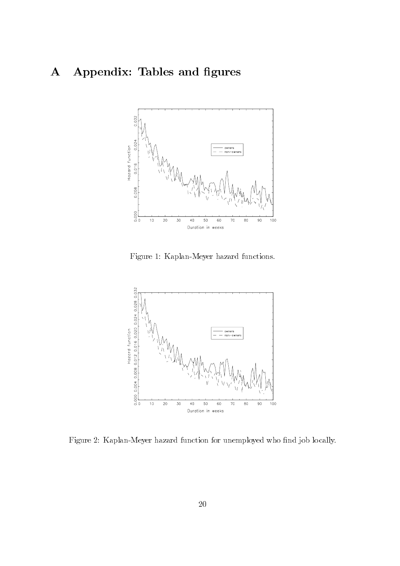### Appendix: Tables and figures  ${\bf A}$



Figure 1: Kaplan-Meyer hazard functions.



Figure 2: Kaplan-Meyer hazard function for unemployed who find job locally.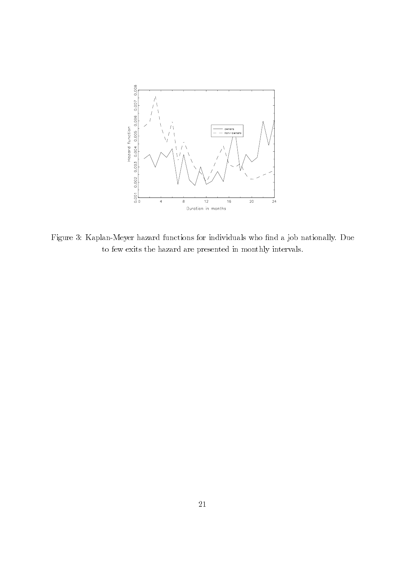

Figure 3: Kaplan-Meyer hazard functions for individuals who find a job nationally. Due to few exits the hazard are presented in monthly intervals.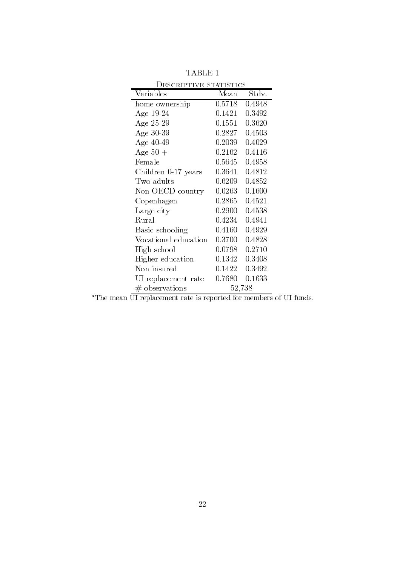| ESCRIPTIVE STATISTICS |            |        |  |  |  |
|-----------------------|------------|--------|--|--|--|
| Variables             | Mean       | Stdv.  |  |  |  |
| home ownership        | 0.5718     | 0.4948 |  |  |  |
| Age 19-24             | 0.1421     | 0.3492 |  |  |  |
| Age $25-29$           | 0.1551     | 0.3620 |  |  |  |
| Age $30-39$           | 0.2827     | 0.4503 |  |  |  |
| Age $40-49$           | 0.2039     | 0.4029 |  |  |  |
| Age $50+$             | 0.2162     | 0.4116 |  |  |  |
| Female                | $0.5645\,$ | 0.4958 |  |  |  |
| Children 0-17 years   | 0.3641     | 0.4812 |  |  |  |
| Two adults            | 0.6209     | 0.4852 |  |  |  |
| Non OECD country      | $0.0263\,$ | 0.1600 |  |  |  |
| Copenhagen            | $0.2865\,$ | 0.4521 |  |  |  |
| Large city            | 0.2900     | 0.4538 |  |  |  |
| Rural                 | 0.4234     | 0.4941 |  |  |  |
| Basic schooling       | $0.4160\,$ | 0.4929 |  |  |  |
| Vocational education  | $0.3700\,$ | 0.4828 |  |  |  |
| High school           | 0.0798     | 0.2710 |  |  |  |
| Higher education      | 0.1342     | 0.3408 |  |  |  |
| Non insured           | $0.1422\,$ | 0.3492 |  |  |  |
| UI replacement rate   | 0.7680     | 0.1633 |  |  |  |
| $#$ observations      |            | 52,738 |  |  |  |

 $\operatorname{TABLE}$  1

<sup>*a*</sup>The mean  $\overline{UI}$  replacement rate is reported for members of UI funds.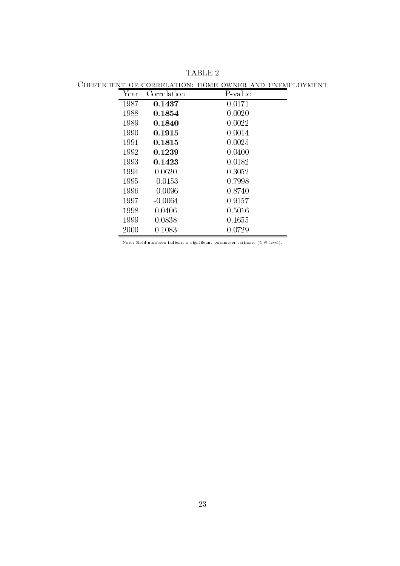| ------- |      |             | 11 V 11 1 1<br>---- |  |
|---------|------|-------------|---------------------|--|
|         | Year | Correlation | P-value             |  |
|         | 1987 | 0.1437      | 0.0171              |  |
|         | 1988 | 0.1854      | 0.0020              |  |
|         | 1989 | 0.1840      | 0.0022              |  |
|         | 1990 | 0.1915      | 0.0014              |  |
|         | 1991 | 0.1815      | 0.0025              |  |
|         | 1992 | 0.1239      | 0.0400              |  |
|         | 1993 | 0.1423      | 0.0182              |  |
|         | 1994 | 0.0620      | 0.3052              |  |
|         | 1995 | $-0.0153$   | 0.7998              |  |
|         | 1996 | $-0.0096$   | 0.8740              |  |
|         | 1997 | $-0.0064$   | 0.9157              |  |
|         | 1998 | 0.0406      | 0.5016              |  |
|         | 1999 | 0.0838      | 0.1655              |  |
|         | 2000 | 0.1083      | 0.0729              |  |
|         |      |             |                     |  |

TABLE 2

COEFFICIENT OF CORRELATION: HOME OWNER AND UNEMPLOYMENT

Note: Bold numbers indicate a significant parameter estimate (5  $\%$  level).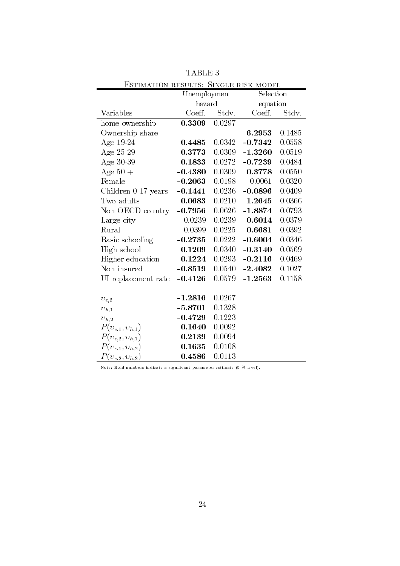| <u>ESTIMATION RESULTS: SINGLE RISK MODEL</u> |              |        |           |        |
|----------------------------------------------|--------------|--------|-----------|--------|
|                                              | Unemployment |        | Selection |        |
|                                              | hazard       |        | equation  |        |
| Variables                                    | Coeff.       | Stdv.  | Coeff.    | Stdv.  |
| home ownership                               | 0.3309       | 0.0297 |           |        |
| Ownership share                              |              |        | 6.2953    | 0.1485 |
| Age $19-24$                                  | 0.4485       | 0.0342 | $-0.7342$ | 0.0558 |
| Age $25-29$                                  | 0.3773       | 0.0309 | $-1.3260$ | 0.0519 |
| Age 30-39                                    | 0.1833       | 0.0272 | $-0.7239$ | 0.0484 |
| Age $50+$                                    | $-0.4380$    | 0.0309 | 0.3778    | 0.0550 |
| Female                                       | $-0.2063$    | 0.0198 | 0.0061    | 0.0320 |
| Children 0-17 years                          | $-0.1441$    | 0.0236 | $-0.0896$ | 0.0409 |
| Two adults                                   | 0.0683       | 0.0210 | 1.2645    | 0.0366 |
| Non OECD country                             | $-0.7956$    | 0.0626 | $-1.8874$ | 0.0793 |
| Large city                                   | $-0.0239$    | 0.0239 | 0.6014    | 0.0379 |
| Rural                                        | 0.0399       | 0.0225 | 0.6681    | 0.0392 |
| Basic schooling                              | $-0.2735$    | 0.0222 | $-0.6004$ | 0.0346 |
| High school                                  | 0.1209       | 0.0340 | $-0.3140$ | 0.0569 |
| Higher education                             | 0.1224       | 0.0293 | $-0.2116$ | 0.0469 |
| Non insured                                  | $-0.8519$    | 0.0540 | $-2.4082$ | 0.1027 |
| UI replacement rate                          | $-0.4126$    | 0.0579 | $-1.2563$ | 0.1158 |
|                                              |              |        |           |        |
| $v_{e,2}$                                    | $-1.2816$    | 0.0267 |           |        |
| $v_{h,1}$                                    | $-5.8701$    | 0.1328 |           |        |
| $v_{h,2}$                                    | $-0.4729$    | 0.1223 |           |        |
| $P(v_{e,1}, v_{h,1})$                        | 0.1640       | 0.0092 |           |        |
| $P(v_{e,2}, v_{h,1})$                        | 0.2139       | 0.0094 |           |        |
| $P(v_{e,1}, v_{h,2})$                        | 0.1635       | 0.0108 |           |        |
| $P(v_{e,2}, v_{h,2})$                        | 0.4586       | 0.0113 |           |        |

TABLE

Note: Bold numbers indicate a significant parameter estimate (5 % level).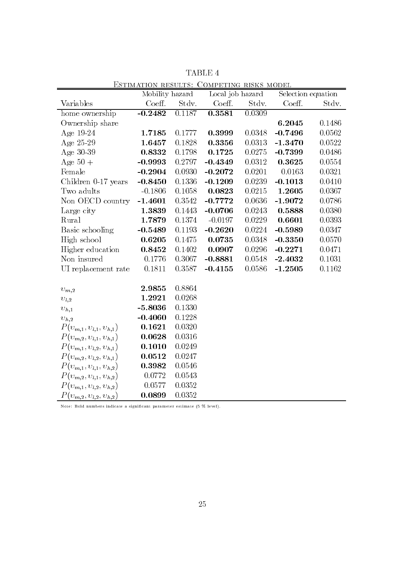|                                | Mobility hazard |        | Local job hazard |        | Selection equation |        |
|--------------------------------|-----------------|--------|------------------|--------|--------------------|--------|
| Variables                      | Coeff.          | Stdv.  | Coeff.           | Stdv.  | Coeff.             | Stdv.  |
| home ownership                 | $-0.2482$       | 0.1187 | 0.3581           | 0.0309 |                    |        |
| Ownership share                |                 |        |                  |        | 6.2045             | 0.1486 |
| Age 19-24                      | 1.7185          | 0.1777 | 0.3999           | 0.0348 | $-0.7496$          | 0.0562 |
| Age 25-29                      | 1.6457          | 0.1828 | 0.3356           | 0.0313 | $-1.3470$          | 0.0522 |
| Age $30-39$                    | 0.8332          | 0.1798 | 0.1725           | 0.0275 | $-0.7399$          | 0.0486 |
| Age $50 +$                     | $-0.9993$       | 0.2797 | $-0.4349$        | 0.0312 | 0.3625             | 0.0554 |
| Female                         | $-0.2904$       | 0.0930 | $-0.2072$        | 0.0201 | 0.0163             | 0.0321 |
| Children 0-17 years            | $-0.8450$       | 0.1336 | $-0.1209$        | 0.0239 | $-0.1013$          | 0.0410 |
| Two adults                     | $-0.1806$       | 0.1058 | 0.0823           | 0.0215 | 1.2605             | 0.0367 |
| Non OECD country               | $-1.4601$       | 0.3542 | $-0.7772$        | 0.0636 | $-1.9072$          | 0.0786 |
| Large city                     | 1.3839          | 0.1443 | $-0.0706$        | 0.0243 | 0.5888             | 0.0380 |
| Rural                          | 1.7879          | 0.1374 | $-0.0197$        | 0.0229 | 0.6601             | 0.0393 |
| Basic schooling                | $-0.5489$       | 0.1193 | $-0.2620$        | 0.0224 | $-0.5989$          | 0.0347 |
| High school                    | 0.6205          | 0.1475 | 0.0735           | 0.0348 | $-0.3350$          | 0.0570 |
| Higher education               | 0.8452          | 0.1402 | 0.0907           | 0.0296 | $-0.2271$          | 0.0471 |
| Non insured                    | 0.1776          | 0.3067 | $-0.8881$        | 0.0548 | $-2.4032$          | 0.1031 |
| UI replacement rate            | 0.1811          | 0.3587 | $-0.4155$        | 0.0586 | $-1.2505$          | 0.1162 |
| $v_{m,2}$                      | 2.9855          | 0.8864 |                  |        |                    |        |
| $v_{l,2}$                      | 1.2921          | 0.0268 |                  |        |                    |        |
| $v_{h,1}$                      | $-5.8036$       | 0.1330 |                  |        |                    |        |
| $v_{h,2}$                      | $-0.4060$       | 0.1228 |                  |        |                    |        |
| $P(v_{m,1}, v_{l,1}, v_{h,1})$ | 0.1621          | 0.0320 |                  |        |                    |        |
| $P(v_{m,2}, v_{l,1}, v_{h,1})$ | 0.0628          | 0.0316 |                  |        |                    |        |
| $P(v_{m,1}, v_{l,2}, v_{h,1})$ | 0.1010          | 0.0249 |                  |        |                    |        |
| $P(v_{m,2}, v_{l,2}, v_{h,1})$ | 0.0512          | 0.0247 |                  |        |                    |        |
| $P(v_{m,1}, v_{l,1}, v_{h,2})$ | 0.3982          | 0.0546 |                  |        |                    |        |
| $P(v_{m,2}, v_{l,1}, v_{h,2})$ | 0.0772          | 0.0543 |                  |        |                    |        |
| $P(v_{m,1}, v_{l,2}, v_{h,2})$ | 0.0577          | 0.0352 |                  |        |                    |        |
| $P(v_{m,2}, v_{l,2}, v_{h,2})$ | 0.0899          | 0.0352 |                  |        |                    |        |

TABLE  $4$ 

Note: Bold numbers indicate a significant parameter estimate (5 % level).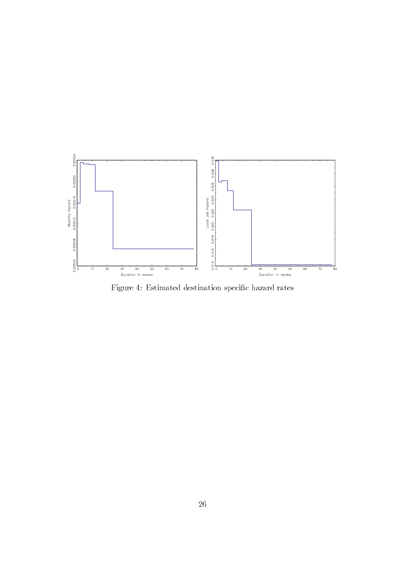

Figure 4: Estimated destination specific hazard rates  $% \left\vert \cdot \right\rangle$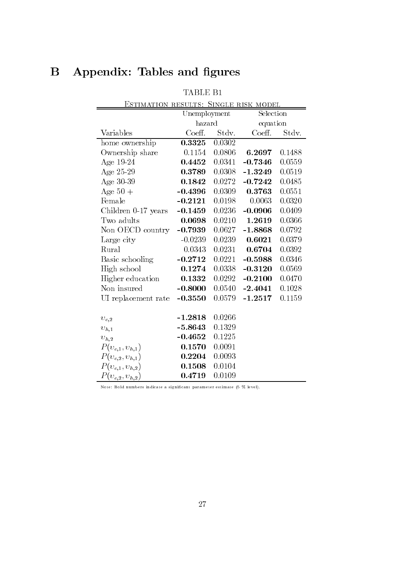# **B** Appendix: Tables and figures

|                       | Unemployment |        | Selection |        |
|-----------------------|--------------|--------|-----------|--------|
|                       | hazard       |        | equation  |        |
| Variables             | Coeff.       | Stdv.  | Coeff.    | Stdv.  |
| home ownership        | 0.3325       | 0.0302 |           |        |
| Ownership share       | 0.1154       | 0.0806 | 6.2697    | 0.1488 |
| Age $19-24$           | 0.4452       | 0.0341 | $-0.7346$ | 0.0559 |
| Age 25-29             | 0.3789       | 0.0308 | $-1.3249$ | 0.0519 |
| Age 30-39             | 0.1842       | 0.0272 | $-0.7242$ | 0.0485 |
| Age $50+$             | $-0.4396$    | 0.0309 | 0.3763    | 0.0551 |
| Female                | $-0.2121$    | 0.0198 | 0.0063    | 0.0320 |
| Children $0-17$ years | $-0.1459$    | 0.0236 | $-0.0906$ | 0.0409 |
| Two adults            | 0.0698       | 0.0210 | 1.2619    | 0.0366 |
| Non OECD country      | $-0.7939$    | 0.0627 | $-1.8868$ | 0.0792 |
| Large city            | $-0.0239$    | 0.0239 | 0.6021    | 0.0379 |
| Rural                 | 0.0343       | 0.0231 | 0.6704    | 0.0392 |
| Basic schooling       | $-0.2712$    | 0.0221 | $-0.5988$ | 0.0346 |
| High school           | 0.1274       | 0.0338 | $-0.3120$ | 0.0569 |
| Higher education      | 0.1332       | 0.0292 | $-0.2100$ | 0.0470 |
| Non insured           | $-0.8000$    | 0.0540 | $-2.4041$ | 0.1028 |
| UI replacement rate   | $-0.3550$    | 0.0579 | $-1.2517$ | 0.1159 |
| $v_{e,2}$             | $-1.2818$    | 0.0266 |           |        |
| $v_{h,1}$             | $-5.8643$    | 0.1329 |           |        |
| $\upsilon_{h,2}$      | $-0.4652$    | 0.1225 |           |        |
| $P(v_{e,1}, v_{h,1})$ | 0.1570       | 0.0091 |           |        |
| $P(v_{e,2}, v_{h,1})$ | 0.2204       | 0.0093 |           |        |
| $P(v_{e,1}, v_{h,2})$ | 0.1508       | 0.0104 |           |        |
| $P(v_{e,2}, v_{h,2})$ | 0.4719       | 0.0109 |           |        |

Note: Bold numbers indicate a significant parameter estimate (5 % level).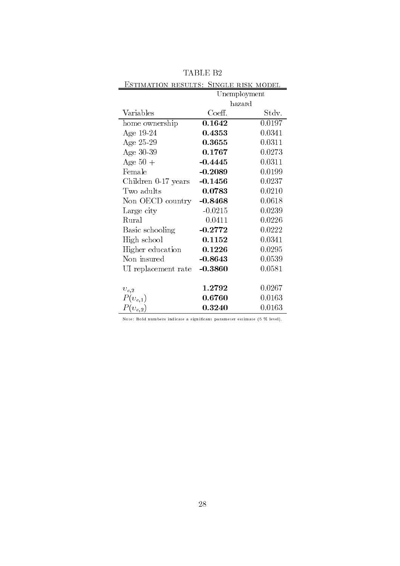|                                                                           | 'ABLE B2     |        |
|---------------------------------------------------------------------------|--------------|--------|
| <u>Estimation results: Single risk model</u>                              |              |        |
|                                                                           | Unemployment |        |
|                                                                           | hazard       |        |
| Variables                                                                 | Coeff.       | Stdv.  |
| home ownership                                                            | 0.1642       | 0.0197 |
| Age $19-24$                                                               | 0.4353       | 0.0341 |
| Age $25-29$                                                               | 0.3655       | 0.0311 |
| Age $30-39$                                                               | 0.1767       | 0.0273 |
| Age $50+$                                                                 | $-0.4445$    | 0.0311 |
| Female                                                                    | $-0.2089$    | 0.0199 |
| Children 0-17 years                                                       | $-0.1456$    | 0.0237 |
| Two adults                                                                | 0.0783       | 0.0210 |
| Non OECD country                                                          | $-0.8468$    | 0.0618 |
| Large city                                                                | $-0.0215$    | 0.0239 |
| Rural                                                                     | 0.0411       | 0.0226 |
| Basic schooling                                                           | $-0.2772$    | 0.0222 |
| High school                                                               | 0.1152       | 0.0341 |
| Higher education                                                          | 0.1226       | 0.0295 |
| Non insured                                                               | $-0.8643$    | 0.0539 |
| UI replacement rate                                                       | $-0.3860$    | 0.0581 |
| $v_{e,2}$                                                                 | 1.2792       | 0.0267 |
| $P(v_{e,1})$                                                              | 0.6760       | 0.0163 |
| $P(v_{e,2})$                                                              | 0.3240       | 0.0163 |
| Note: Bold numbers indicate a significant parameter estimate (5 % level). |              |        |

TABLE B2